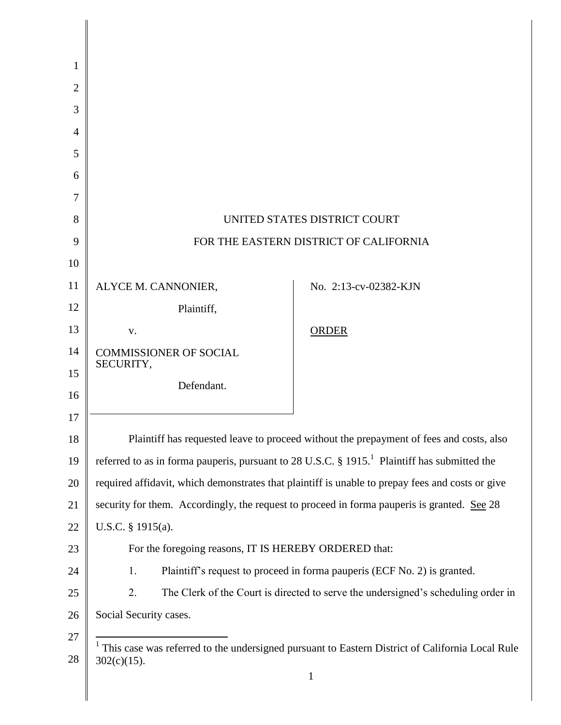| 1              |                                                                                                              |                       |
|----------------|--------------------------------------------------------------------------------------------------------------|-----------------------|
| $\overline{2}$ |                                                                                                              |                       |
| 3              |                                                                                                              |                       |
| 4              |                                                                                                              |                       |
| 5              |                                                                                                              |                       |
| 6              |                                                                                                              |                       |
| 7              |                                                                                                              |                       |
| 8              | UNITED STATES DISTRICT COURT                                                                                 |                       |
| 9              | FOR THE EASTERN DISTRICT OF CALIFORNIA                                                                       |                       |
| 10             |                                                                                                              |                       |
| 11             | ALYCE M. CANNONIER,                                                                                          | No. 2:13-cv-02382-KJN |
| 12             | Plaintiff,                                                                                                   |                       |
| 13             | V.                                                                                                           | <b>ORDER</b>          |
| 14             | <b>COMMISSIONER OF SOCIAL</b><br>SECURITY,                                                                   |                       |
| 15             | Defendant.                                                                                                   |                       |
| 16             |                                                                                                              |                       |
| 17             |                                                                                                              |                       |
| 18             | Plaintiff has requested leave to proceed without the prepayment of fees and costs, also                      |                       |
| 19             | referred to as in forma pauperis, pursuant to 28 U.S.C. $\S 1915$ . <sup>1</sup> Plaintiff has submitted the |                       |
| 20             | required affidavit, which demonstrates that plaintiff is unable to prepay fees and costs or give             |                       |
| 21             | security for them. Accordingly, the request to proceed in forma pauperis is granted. See 28                  |                       |
| 22             | U.S.C. $§$ 1915(a).                                                                                          |                       |
| 23             | For the foregoing reasons, IT IS HEREBY ORDERED that:                                                        |                       |
| 24             | Plaintiff's request to proceed in forma pauperis (ECF No. 2) is granted.<br>1.                               |                       |
| 25             | The Clerk of the Court is directed to serve the undersigned's scheduling order in<br>2.                      |                       |
| 26             | Social Security cases.                                                                                       |                       |
| 27             | <sup>1</sup> This case was referred to the undersigned pursuant to Eastern District of California Local Rule |                       |
| 28             | $302(c)(15)$ .                                                                                               |                       |
|                |                                                                                                              | $\mathbf{1}$          |